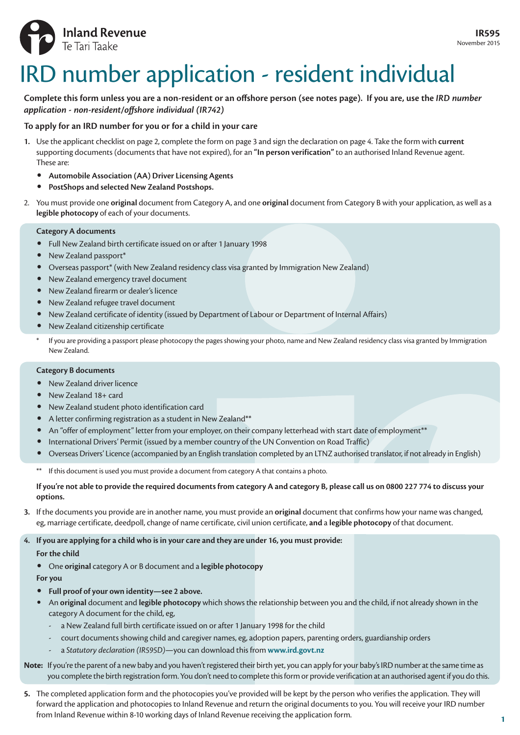

# IRD number application - resident individual

## **Complete this form unless you are a non-resident or an offshore person (see notes page). If you are, use the** *IRD number application - non-resident/offshore individual (IR742)*

## **To apply for an IRD number for you or for a child in your care**

- **1.** Use the applicant checklist on page 2, complete the form on page 3 and sign the declaration on page 4. Take the form with **current**  supporting documents (documents that have not expired), for an **"In person verification"** to an authorised Inland Revenue agent. These are:
	- **Automobile Association (AA) Driver Licensing Agents**
	- **PostShops and selected New Zealand Postshops.**
- 2. You must provide one **original** document from Category A, and one **original** document from Category B with your application, as well as a **legible photocopy** of each of your documents.

### **Category A documents**

- Full New Zealand birth certificate issued on or after 1 January 1998
- New Zealand passport\*
- Overseas passport\* (with New Zealand residency class visa granted by Immigration New Zealand)
- New Zealand emergency travel document
- New Zealand firearm or dealer's licence
- New Zealand refugee travel document
- New Zealand certificate of identity (issued by Department of Labour or Department of Internal Affairs)
- New Zealand citizenship certificate
- \* If you are providing a passport please photocopy the pages showing your photo, name and New Zealand residency class visa granted by Immigration New Zealand.

## **Category B documents**

- New Zealand driver licence
- New Zealand 18+ card
- New Zealand student photo identification card
- A letter confirming registration as a student in New Zealand\*\*
- An "offer of employment" letter from your employer, on their company letterhead with start date of employment\*\*
- International Drivers' Permit (issued by a member country of the UN Convention on Road Traffic)
- Overseas Drivers' Licence (accompanied by an English translation completed by an LTNZ authorised translator, if not already in English)
- If this document is used you must provide a document from category A that contains a photo.

#### **If you're not able to provide the required documents from category A and category B, please call us on 0800 227 774 to discuss your options.**

**3.** If the documents you provide are in another name, you must provide an **original** document that confirms how your name was changed, eg, marriage certificate, deedpoll, change of name certificate, civil union certificate, **and** a **legible photocopy** of that document.

**4. If you are applying for a child who is in your care and they are under 16, you must provide:**

### **For the child**

• One **original** category A or B document and a **legible photocopy**

**For you**

- **Full proof of your own identity—see 2 above.**
- An **original** document and **legible photocopy** which shows the relationship between you and the child, if not already shown in the category A document for the child, eg,
	- a New Zealand full birth certificate issued on or after 1 January 1998 for the child
	- court documents showing child and caregiver names, eg, adoption papers, parenting orders, guardianship orders
	- a *Statutory declaration (IR595D)*—you can download this from **www.ird.govt.nz**

## **Note:** If you're the parent of a new baby and you haven't registered their birth yet, you can apply for your baby's IRD number at the same time as you complete the birth registration form. You don't need to complete this form or provide verification at an authorised agent if you do this.

**5.** The completed application form and the photocopies you've provided will be kept by the person who verifies the application. They will forward the application and photocopies to Inland Revenue and return the original documents to you. You will receive your IRD number from Inland Revenue within 8-10 working days of Inland Revenue receiving the application form.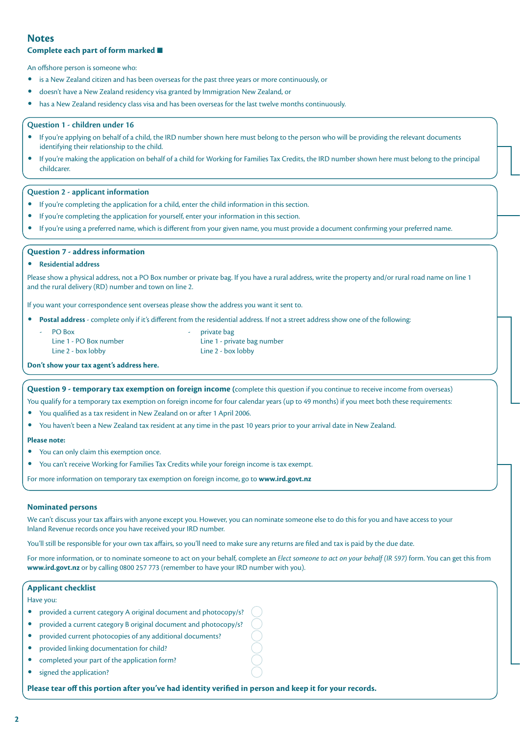## **Notes**

#### **Complete each part of form marked** ■

An offshore person is someone who:

- is a New Zealand citizen and has been overseas for the past three years or more continuously, or
- doesn't have a New Zealand residency visa granted by Immigration New Zealand, or
- has a New Zealand residency class visa and has been overseas for the last twelve months continuously.

#### **Question 1 - children under 16**

- If you're applying on behalf of a child, the IRD number shown here must belong to the person who will be providing the relevant documents identifying their relationship to the child.
- If you're making the application on behalf of a child for Working for Families Tax Credits, the IRD number shown here must belong to the principal childcarer.

#### **Question 2 - applicant information**

- If you're completing the application for a child, enter the child information in this section.
- If you're completing the application for yourself, enter your information in this section.
- If you're using a preferred name, which is different from your given name, you must provide a document confirming your preferred name.

#### **Question 7 - address information**

#### • **Residential address**

Please show a physical address, not a PO Box number or private bag. If you have a rural address, write the property and/or rural road name on line 1 and the rural delivery (RD) number and town on line 2.

If you want your correspondence sent overseas please show the address you want it sent to.

• **Postal address** - complete only if it's different from the residential address. If not a street address show one of the following:

- PO Box PO Box PO Box PO Box PO Box PO Box PO Box PO Box PO Box PO Box PO Box PO Box PO Box PO Box PO Box PO Box PO Box PO Box PO Box PO Box PO Box PO Box PO Box PO Box PO Box PO Box PO Box PO Box PO Box PO Box PO Box PO Bo
- 
- Line 2 box lobby Line 2 box lobby

Line 1 - PO Box number Line 1 - private bag number

**Don't show your tax agent's address here.**

**Question 9 - temporary tax exemption on foreign income (**complete this question if you continue to receive income from overseas)

You qualify for a temporary tax exemption on foreign income for four calendar years (up to 49 months) if you meet both these requirements:

- You qualified as a tax resident in New Zealand on or after 1 April 2006.
- You haven't been a New Zealand tax resident at any time in the past 10 years prior to your arrival date in New Zealand.

#### **Please note:**

- You can only claim this exemption once.
- You can't receive Working for Families Tax Credits while your foreign income is tax exempt.

For more information on temporary tax exemption on foreign income, go to **www.ird.govt.nz**

#### **Nominated persons**

We can't discuss your tax affairs with anyone except you. However, you can nominate someone else to do this for you and have access to your Inland Revenue records once you have received your IRD number.

You'll still be responsible for your own tax affairs, so you'll need to make sure any returns are filed and tax is paid by the due date.

For more information, or to nominate someone to act on your behalf, complete an *Elect someone to act on your behalf (IR 597)* form. You can get this from **www.ird.govt.nz** or by calling 0800 257 773 (remember to have your IRD number with you).

#### **Applicant checklist**

#### Have you:

- provided a current category A original document and photocopy/s?
- provided a current category B original document and photocopy/s?
- provided current photocopies of any additional documents?
- provided linking documentation for child?
- completed your part of the application form?
- signed the application?

**Please tear off this portion after you've had identity verified in person and keep it for your records.**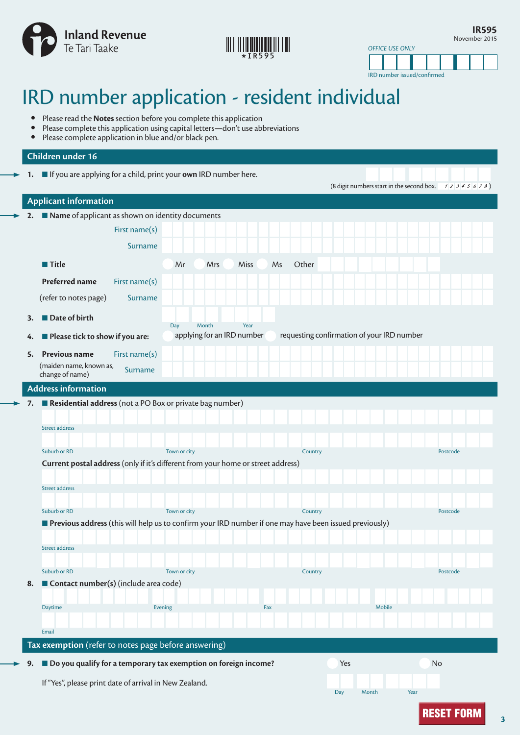

## 

**IR595** November 2015

IRD number issued/confirmed

*OFFICE USE ONLY*

## IRD number application - resident individual

- Please read the **Notes** section before you complete this application<br>• Please complete this application using capital letters—don't use able
- Please complete this application using capital letters—don't use abbreviations<br>• Please complete application in blue and/or black pen.
- Please complete application in blue and/or black pen.

## **Children under 16**

**1.** ■ If you are applying for a child, print your **own** IRD number here.

|    |                                                                                                        |                            |      |             | (8 digit numbers start in the second box. $12345678$ ) |          |
|----|--------------------------------------------------------------------------------------------------------|----------------------------|------|-------------|--------------------------------------------------------|----------|
|    | <b>Applicant information</b>                                                                           |                            |      |             |                                                        |          |
|    | 2. Name of applicant as shown on identity documents                                                    |                            |      |             |                                                        |          |
|    | First name(s)                                                                                          |                            |      |             |                                                        |          |
|    | Surname                                                                                                |                            |      |             |                                                        |          |
|    | ■ Title                                                                                                | Mr<br>Mrs                  | Miss | Other<br>Ms |                                                        |          |
|    | <b>Preferred name</b><br>First name(s)                                                                 |                            |      |             |                                                        |          |
|    | (refer to notes page)<br><b>Surname</b>                                                                |                            |      |             |                                                        |          |
| 3. | Date of birth                                                                                          | Day<br>Month               | Year |             |                                                        |          |
| 4. | Please tick to show if you are:                                                                        | applying for an IRD number |      |             | requesting confirmation of your IRD number             |          |
| 5. | First name(s)<br><b>Previous name</b>                                                                  |                            |      |             |                                                        |          |
|    | (maiden name, known as,<br>Surname<br>change of name)                                                  |                            |      |             |                                                        |          |
|    | <b>Address information</b>                                                                             |                            |      |             |                                                        |          |
| 7. | Residential address (not a PO Box or private bag number)                                               |                            |      |             |                                                        |          |
|    | Street address                                                                                         |                            |      |             |                                                        |          |
|    |                                                                                                        |                            |      |             |                                                        |          |
|    | Suburb or RD                                                                                           | Town or city               |      | Country     |                                                        | Postcode |
|    | Current postal address (only if it's different from your home or street address)                       |                            |      |             |                                                        |          |
|    | <b>Street address</b>                                                                                  |                            |      |             |                                                        |          |
|    |                                                                                                        |                            |      |             |                                                        |          |
|    | Suburb or RD                                                                                           | Town or city               |      | Country     |                                                        | Postcode |
|    | Previous address (this will help us to confirm your IRD number if one may have been issued previously) |                            |      |             |                                                        |          |
|    | Street address                                                                                         |                            |      |             |                                                        |          |
|    |                                                                                                        |                            |      |             |                                                        |          |
|    | Suburb or RD                                                                                           | Town or city               |      | Country     |                                                        | Postcode |
| 8. | Contact number(s) (include area code)                                                                  |                            |      |             |                                                        |          |
|    | Daytime                                                                                                | Evening                    | Fax  |             | Mobile                                                 |          |
|    |                                                                                                        |                            |      |             |                                                        |          |
|    | Email                                                                                                  |                            |      |             |                                                        |          |
|    | Tax exemption (refer to notes page before answering)                                                   |                            |      |             |                                                        |          |
| 9. | Do you qualify for a temporary tax exemption on foreign income?                                        |                            |      |             | Yes                                                    | No       |
|    | If "Yes", please print date of arrival in New Zealand.                                                 |                            |      |             |                                                        |          |

Day Month Year

**3**